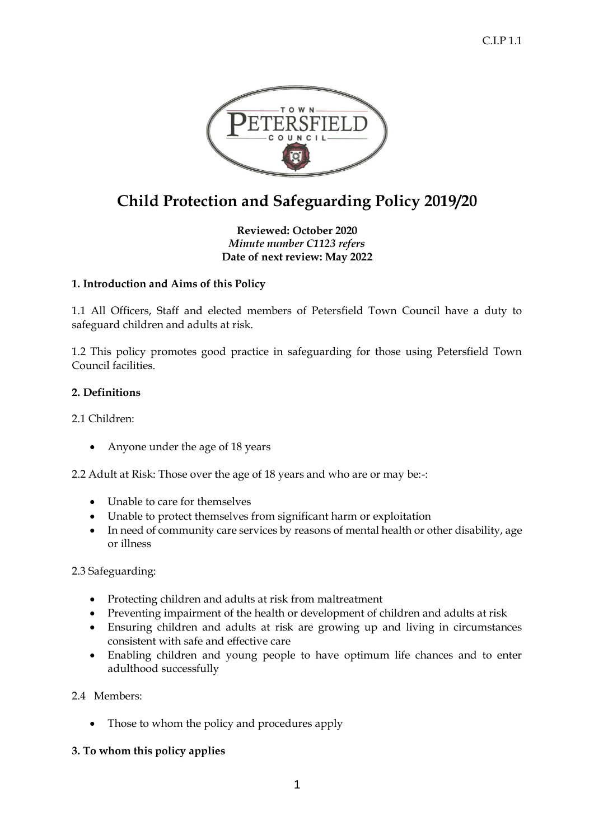

# **Child Protection and Safeguarding Policy 2019/20**

**Reviewed: October 2020** *Minute number C1123 refers* **Date of next review: May 2022**

# **1. Introduction and Aims of this Policy**

1.1 All Officers, Staff and elected members of Petersfield Town Council have a duty to safeguard children and adults at risk.

1.2 This policy promotes good practice in safeguarding for those using Petersfield Town Council facilities.

## **2. Definitions**

2.1 Children:

• Anyone under the age of 18 years

2.2 Adult at Risk: Those over the age of 18 years and who are or may be:-:

- Unable to care for themselves
- Unable to protect themselves from significant harm or exploitation
- In need of community care services by reasons of mental health or other disability, age or illness

## 2.3 Safeguarding:

- Protecting children and adults at risk from maltreatment
- Preventing impairment of the health or development of children and adults at risk
- Ensuring children and adults at risk are growing up and living in circumstances consistent with safe and effective care
- Enabling children and young people to have optimum life chances and to enter adulthood successfully

2.4 Members:

• Those to whom the policy and procedures apply

## **3. To whom this policy applies**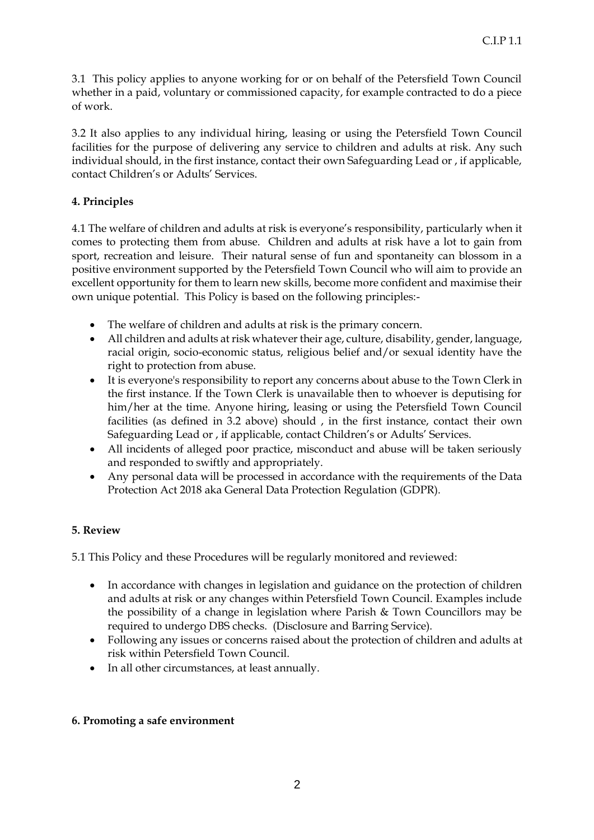3.1 This policy applies to anyone working for or on behalf of the Petersfield Town Council whether in a paid, voluntary or commissioned capacity, for example contracted to do a piece of work.

3.2 It also applies to any individual hiring, leasing or using the Petersfield Town Council facilities for the purpose of delivering any service to children and adults at risk. Any such individual should, in the first instance, contact their own Safeguarding Lead or , if applicable, contact Children's or Adults' Services.

## **4. Principles**

4.1 The welfare of children and adults at risk is everyone's responsibility, particularly when it comes to protecting them from abuse. Children and adults at risk have a lot to gain from sport, recreation and leisure. Their natural sense of fun and spontaneity can blossom in a positive environment supported by the Petersfield Town Council who will aim to provide an excellent opportunity for them to learn new skills, become more confident and maximise their own unique potential. This Policy is based on the following principles:-

- The welfare of children and adults at risk is the primary concern.
- All children and adults at risk whatever their age, culture, disability, gender, language, racial origin, socio-economic status, religious belief and/or sexual identity have the right to protection from abuse.
- It is everyone's responsibility to report any concerns about abuse to the Town Clerk in the first instance. If the Town Clerk is unavailable then to whoever is deputising for him/her at the time. Anyone hiring, leasing or using the Petersfield Town Council facilities (as defined in 3.2 above) should , in the first instance, contact their own Safeguarding Lead or , if applicable, contact Children's or Adults' Services.
- All incidents of alleged poor practice, misconduct and abuse will be taken seriously and responded to swiftly and appropriately.
- Any personal data will be processed in accordance with the requirements of the Data Protection Act 2018 aka General Data Protection Regulation (GDPR).

# **5. Review**

5.1 This Policy and these Procedures will be regularly monitored and reviewed:

- In accordance with changes in legislation and guidance on the protection of children and adults at risk or any changes within Petersfield Town Council. Examples include the possibility of a change in legislation where Parish & Town Councillors may be required to undergo DBS checks. (Disclosure and Barring Service).
- Following any issues or concerns raised about the protection of children and adults at risk within Petersfield Town Council.
- In all other circumstances, at least annually.

## **6. Promoting a safe environment**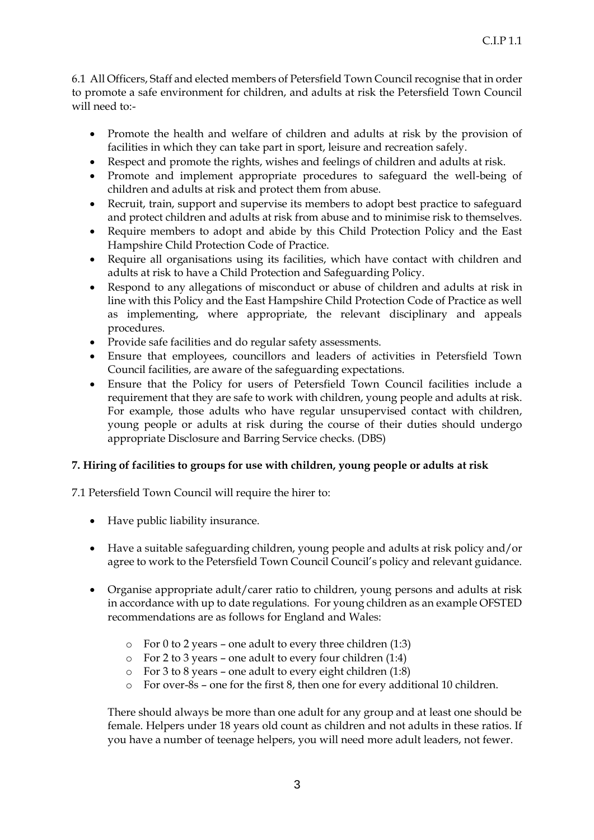6.1 All Officers, Staff and elected members of Petersfield Town Council recognise that in order to promote a safe environment for children, and adults at risk the Petersfield Town Council will need to:-

- Promote the health and welfare of children and adults at risk by the provision of facilities in which they can take part in sport, leisure and recreation safely.
- Respect and promote the rights, wishes and feelings of children and adults at risk.
- Promote and implement appropriate procedures to safeguard the well-being of children and adults at risk and protect them from abuse.
- Recruit, train, support and supervise its members to adopt best practice to safeguard and protect children and adults at risk from abuse and to minimise risk to themselves.
- Require members to adopt and abide by this Child Protection Policy and the East Hampshire Child Protection Code of Practice.
- Require all organisations using its facilities, which have contact with children and adults at risk to have a Child Protection and Safeguarding Policy.
- Respond to any allegations of misconduct or abuse of children and adults at risk in line with this Policy and the East Hampshire Child Protection Code of Practice as well as implementing, where appropriate, the relevant disciplinary and appeals procedures.
- Provide safe facilities and do regular safety assessments.
- Ensure that employees, councillors and leaders of activities in Petersfield Town Council facilities, are aware of the safeguarding expectations.
- Ensure that the Policy for users of Petersfield Town Council facilities include a requirement that they are safe to work with children, young people and adults at risk. For example, those adults who have regular unsupervised contact with children, young people or adults at risk during the course of their duties should undergo appropriate Disclosure and Barring Service checks. (DBS)

# **7. Hiring of facilities to groups for use with children, young people or adults at risk**

7.1 Petersfield Town Council will require the hirer to:

- Have public liability insurance.
- Have a suitable safeguarding children, young people and adults at risk policy and/or agree to work to the Petersfield Town Council Council's policy and relevant guidance.
- Organise appropriate adult/carer ratio to children, young persons and adults at risk in accordance with up to date regulations. For young children as an example OFSTED recommendations are as follows for England and Wales:
	- $\circ$  For 0 to 2 years one adult to every three children (1:3)
	- o For 2 to 3 years one adult to every four children (1:4)
	- o For 3 to 8 years one adult to every eight children (1:8)
	- o For over-8s one for the first 8, then one for every additional 10 children.

There should always be more than one adult for any group and at least one should be female. Helpers under 18 years old count as children and not adults in these ratios. If you have a number of teenage helpers, you will need more adult leaders, not fewer.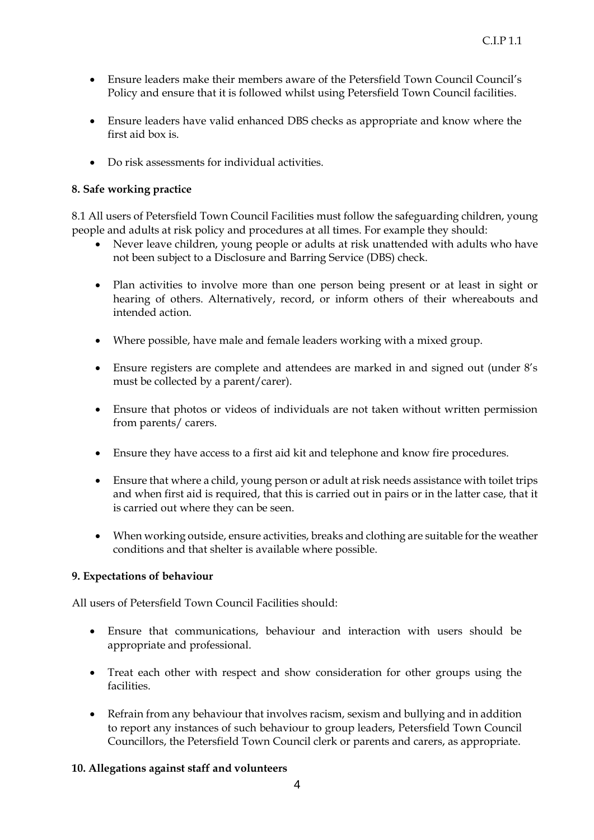- Ensure leaders make their members aware of the Petersfield Town Council Council's Policy and ensure that it is followed whilst using Petersfield Town Council facilities.
- Ensure leaders have valid enhanced DBS checks as appropriate and know where the first aid box is.
- Do risk assessments for individual activities.

## **8. Safe working practice**

8.1 All users of Petersfield Town Council Facilities must follow the safeguarding children, young people and adults at risk policy and procedures at all times. For example they should:

- Never leave children, young people or adults at risk unattended with adults who have not been subject to a Disclosure and Barring Service (DBS) check.
- Plan activities to involve more than one person being present or at least in sight or hearing of others. Alternatively, record, or inform others of their whereabouts and intended action.
- Where possible, have male and female leaders working with a mixed group.
- Ensure registers are complete and attendees are marked in and signed out (under 8's must be collected by a parent/carer).
- Ensure that photos or videos of individuals are not taken without written permission from parents/ carers.
- Ensure they have access to a first aid kit and telephone and know fire procedures.
- Ensure that where a child, young person or adult at risk needs assistance with toilet trips and when first aid is required, that this is carried out in pairs or in the latter case, that it is carried out where they can be seen.
- When working outside, ensure activities, breaks and clothing are suitable for the weather conditions and that shelter is available where possible.

## **9. Expectations of behaviour**

All users of Petersfield Town Council Facilities should:

- Ensure that communications, behaviour and interaction with users should be appropriate and professional.
- Treat each other with respect and show consideration for other groups using the facilities.
- Refrain from any behaviour that involves racism, sexism and bullying and in addition to report any instances of such behaviour to group leaders, Petersfield Town Council Councillors, the Petersfield Town Council clerk or parents and carers, as appropriate.

## **10. Allegations against staff and volunteers**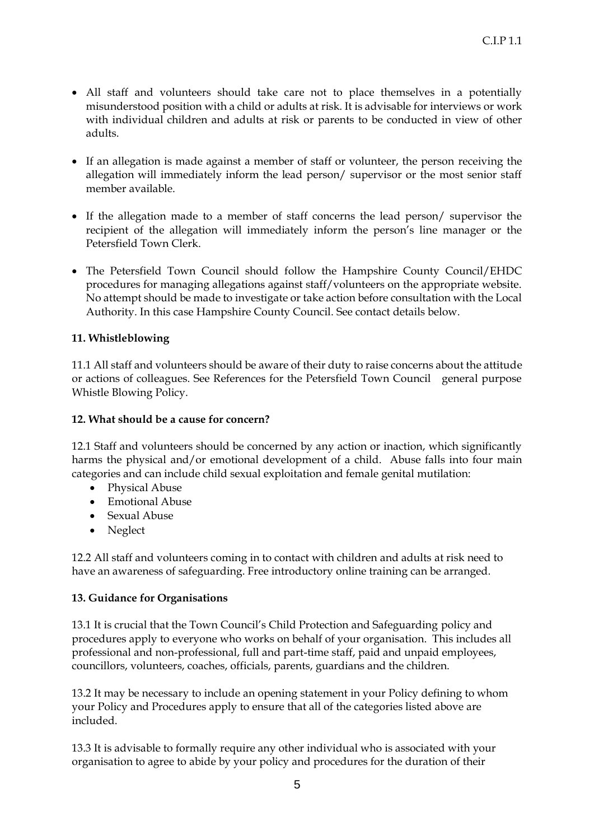- All staff and volunteers should take care not to place themselves in a potentially misunderstood position with a child or adults at risk. It is advisable for interviews or work with individual children and adults at risk or parents to be conducted in view of other adults.
- If an allegation is made against a member of staff or volunteer, the person receiving the allegation will immediately inform the lead person/ supervisor or the most senior staff member available.
- If the allegation made to a member of staff concerns the lead person/ supervisor the recipient of the allegation will immediately inform the person's line manager or the Petersfield Town Clerk.
- The Petersfield Town Council should follow the Hampshire County Council/EHDC procedures for managing allegations against staff/volunteers on the appropriate website. No attempt should be made to investigate or take action before consultation with the Local Authority. In this case Hampshire County Council. See contact details below.

# **11. Whistleblowing**

11.1 All staff and volunteers should be aware of their duty to raise concerns about the attitude or actions of colleagues. See References for the Petersfield Town Council general purpose Whistle Blowing Policy.

## **12. What should be a cause for concern?**

12.1 Staff and volunteers should be concerned by any action or inaction, which significantly harms the physical and/or emotional development of a child. Abuse falls into four main categories and can include child sexual exploitation and female genital mutilation:

- Physical Abuse
- Emotional Abuse
- Sexual Abuse
- Neglect

12.2 All staff and volunteers coming in to contact with children and adults at risk need to have an awareness of safeguarding. Free introductory online training can be arranged.

## **13. Guidance for Organisations**

13.1 It is crucial that the Town Council's Child Protection and Safeguarding policy and procedures apply to everyone who works on behalf of your organisation. This includes all professional and non-professional, full and part-time staff, paid and unpaid employees, councillors, volunteers, coaches, officials, parents, guardians and the children.

13.2 It may be necessary to include an opening statement in your Policy defining to whom your Policy and Procedures apply to ensure that all of the categories listed above are included.

13.3 It is advisable to formally require any other individual who is associated with your organisation to agree to abide by your policy and procedures for the duration of their